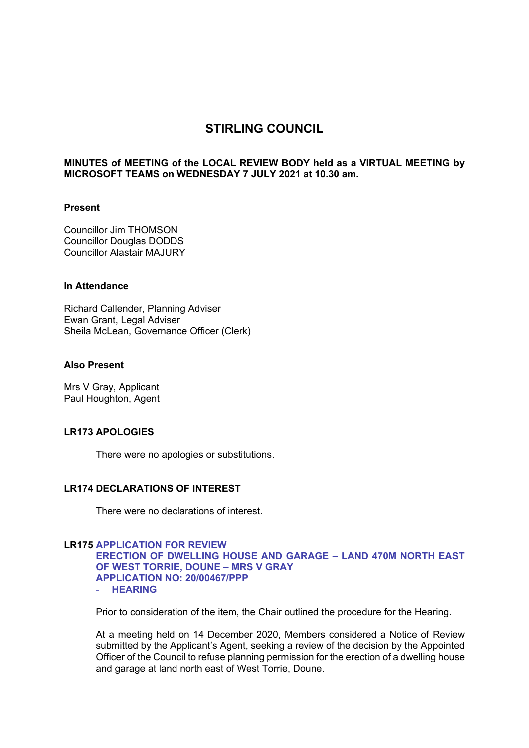# **STIRLING COUNCIL**

### **MINUTES of MEETING of the LOCAL REVIEW BODY held as a VIRTUAL MEETING by MICROSOFT TEAMS on WEDNESDAY 7 JULY 2021 at 10.30 am.**

#### **Present**

Councillor Jim THOMSON Councillor Douglas DODDS Councillor Alastair MAJURY

## **In Attendance**

Richard Callender, Planning Adviser Ewan Grant, Legal Adviser Sheila McLean, Governance Officer (Clerk)

## **Also Present**

Mrs V Gray, Applicant Paul Houghton, Agent

## **LR173 APOLOGIES**

There were no apologies or substitutions.

#### **LR174 DECLARATIONS OF INTEREST**

There were no declarations of interest.

## **LR175 APPLICATION FOR REVIEW ERECTION OF DWELLING HOUSE AND GARAGE – LAND 470M NORTH EAST OF WEST TORRIE, DOUNE – MRS V GRAY APPLICATION NO: 20/00467/PPP**  - **HEARING**

Prior to consideration of the item, the Chair outlined the procedure for the Hearing.

At a meeting held on 14 December 2020, Members considered a Notice of Review submitted by the Applicant's Agent, seeking a review of the decision by the Appointed Officer of the Council to refuse planning permission for the erection of a dwelling house and garage at land north east of West Torrie, Doune.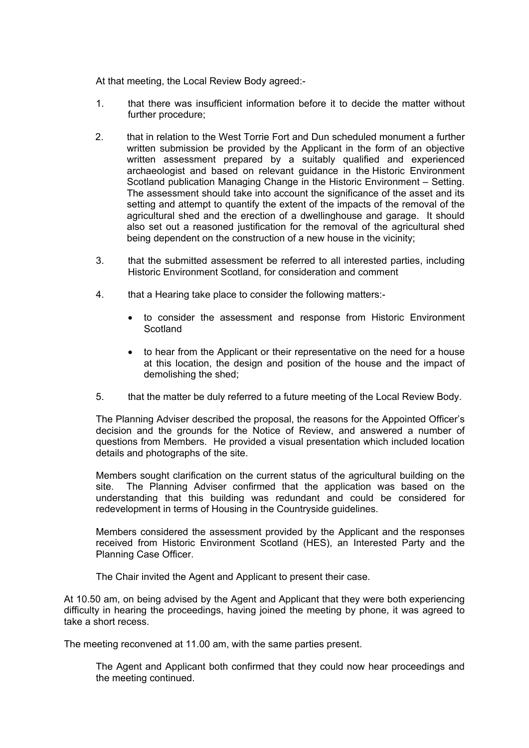At that meeting, the Local Review Body agreed:-

- 1. that there was insufficient information before it to decide the matter without further procedure;
- 2. that in relation to the West Torrie Fort and Dun scheduled monument a further written submission be provided by the Applicant in the form of an objective written assessment prepared by a suitably qualified and experienced archaeologist and based on relevant guidance in the Historic Environment Scotland publication Managing Change in the Historic Environment – Setting. The assessment should take into account the significance of the asset and its setting and attempt to quantify the extent of the impacts of the removal of the agricultural shed and the erection of a dwellinghouse and garage. It should also set out a reasoned justification for the removal of the agricultural shed being dependent on the construction of a new house in the vicinity;
- 3. that the submitted assessment be referred to all interested parties, including Historic Environment Scotland, for consideration and comment
- 4. that a Hearing take place to consider the following matters:
	- to consider the assessment and response from Historic Environment **Scotland**
	- to hear from the Applicant or their representative on the need for a house at this location, the design and position of the house and the impact of demolishing the shed;
- 5. that the matter be duly referred to a future meeting of the Local Review Body.

The Planning Adviser described the proposal, the reasons for the Appointed Officer's decision and the grounds for the Notice of Review, and answered a number of questions from Members. He provided a visual presentation which included location details and photographs of the site.

Members sought clarification on the current status of the agricultural building on the site. The Planning Adviser confirmed that the application was based on the understanding that this building was redundant and could be considered for redevelopment in terms of Housing in the Countryside guidelines.

Members considered the assessment provided by the Applicant and the responses received from Historic Environment Scotland (HES), an Interested Party and the Planning Case Officer.

The Chair invited the Agent and Applicant to present their case.

At 10.50 am, on being advised by the Agent and Applicant that they were both experiencing difficulty in hearing the proceedings, having joined the meeting by phone, it was agreed to take a short recess.

The meeting reconvened at 11.00 am, with the same parties present.

 The Agent and Applicant both confirmed that they could now hear proceedings and the meeting continued.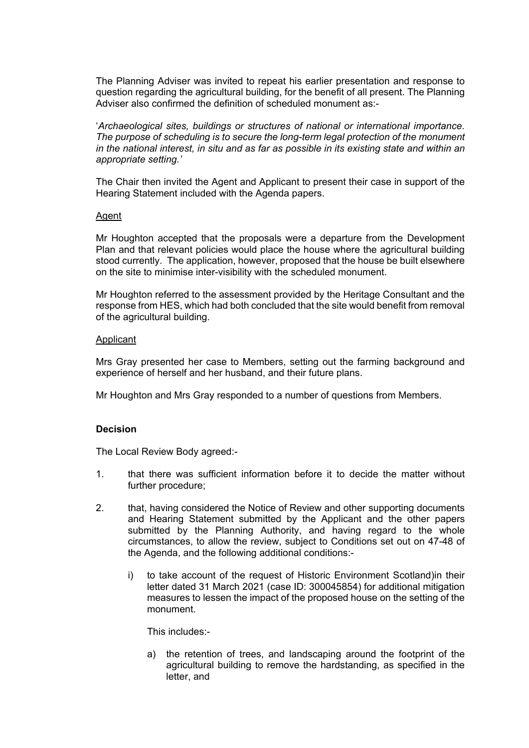The Planning Adviser was invited to repeat his earlier presentation and response to question regarding the agricultural building, for the benefit of all present. The Planning Adviser also confirmed the definition of scheduled monument as:-

 '*Archaeological sites, buildings or structures of national or international importance. The purpose of scheduling is to secure the long-term legal protection of the monument in the national interest, in situ and as far as possible in its existing state and within an appropriate setting.'* 

 The Chair then invited the Agent and Applicant to present their case in support of the Hearing Statement included with the Agenda papers.

## Agent

Mr Houghton accepted that the proposals were a departure from the Development Plan and that relevant policies would place the house where the agricultural building stood currently. The application, however, proposed that the house be built elsewhere on the site to minimise inter-visibility with the scheduled monument.

Mr Houghton referred to the assessment provided by the Heritage Consultant and the response from HES, which had both concluded that the site would benefit from removal of the agricultural building.

#### Applicant

Mrs Gray presented her case to Members, setting out the farming background and experience of herself and her husband, and their future plans.

Mr Houghton and Mrs Gray responded to a number of questions from Members.

#### **Decision**

The Local Review Body agreed:-

- 1. that there was sufficient information before it to decide the matter without further procedure;
- 2. that, having considered the Notice of Review and other supporting documents and Hearing Statement submitted by the Applicant and the other papers submitted by the Planning Authority, and having regard to the whole circumstances, to allow the review, subject to Conditions set out on 47-48 of the Agenda, and the following additional conditions:
	- i) to take account of the request of Historic Environment Scotland)in their letter dated 31 March 2021 (case ID: 300045854) for additional mitigation measures to lessen the impact of the proposed house on the setting of the monument.

This includes:-

a) the retention of trees, and landscaping around the footprint of the agricultural building to remove the hardstanding, as specified in the letter, and